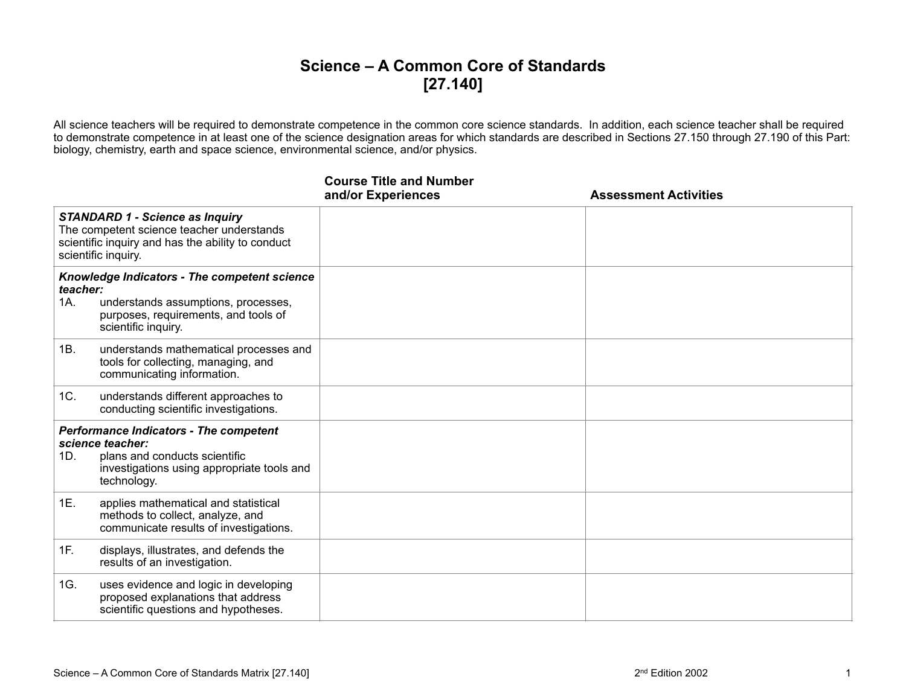## **Science – A Common Core of Standards [27.140]**

All science teachers will be required to demonstrate competence in the common core science standards. In addition, each science teacher shall be required to demonstrate competence in at least one of the science designation areas for which standards are described in Sections 27.150 through 27.190 of this Part: biology, chemistry, earth and space science, environmental science, and/or physics.

|                                                                                                                                                                 |                                                                                                                                                                 | <b>Course Title and Number</b><br>and/or Experiences | <b>Assessment Activities</b> |
|-----------------------------------------------------------------------------------------------------------------------------------------------------------------|-----------------------------------------------------------------------------------------------------------------------------------------------------------------|------------------------------------------------------|------------------------------|
| <b>STANDARD 1 - Science as Inquiry</b><br>The competent science teacher understands<br>scientific inquiry and has the ability to conduct<br>scientific inquiry. |                                                                                                                                                                 |                                                      |                              |
| teacher:<br>1A.                                                                                                                                                 | Knowledge Indicators - The competent science<br>understands assumptions, processes,<br>purposes, requirements, and tools of<br>scientific inquiry.              |                                                      |                              |
| 1B.                                                                                                                                                             | understands mathematical processes and<br>tools for collecting, managing, and<br>communicating information.                                                     |                                                      |                              |
| 1C.                                                                                                                                                             | understands different approaches to<br>conducting scientific investigations.                                                                                    |                                                      |                              |
| 1D.                                                                                                                                                             | <b>Performance Indicators - The competent</b><br>science teacher:<br>plans and conducts scientific<br>investigations using appropriate tools and<br>technology. |                                                      |                              |
| 1E.                                                                                                                                                             | applies mathematical and statistical<br>methods to collect, analyze, and<br>communicate results of investigations.                                              |                                                      |                              |
| 1F.                                                                                                                                                             | displays, illustrates, and defends the<br>results of an investigation.                                                                                          |                                                      |                              |
| 1G.                                                                                                                                                             | uses evidence and logic in developing<br>proposed explanations that address<br>scientific questions and hypotheses.                                             |                                                      |                              |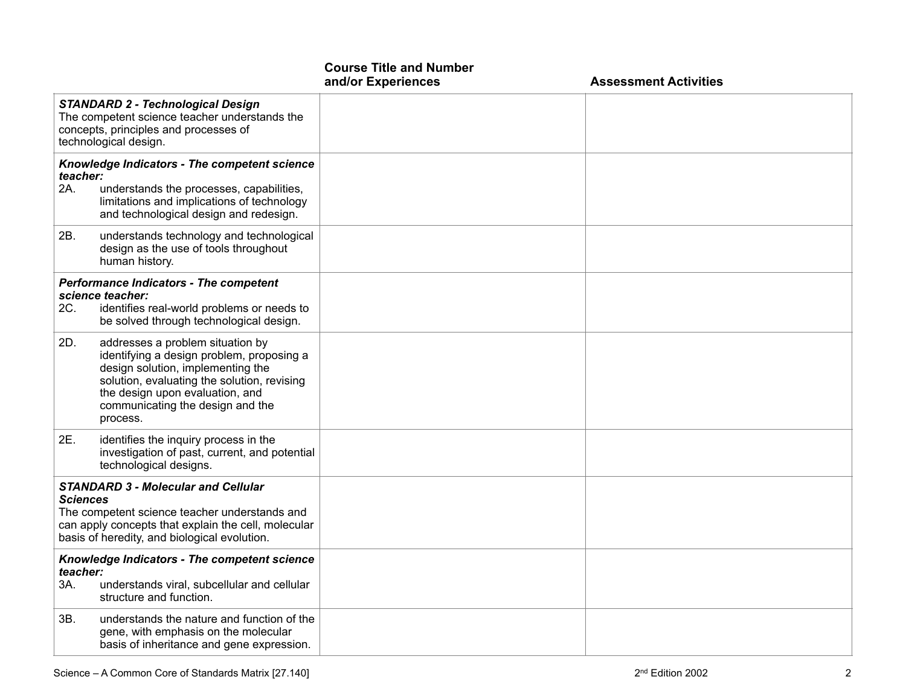|                                                                                                                                                                                                                |                                                                                                                                                                                                                                                      | <b>Course Title and Number</b><br>and/or Experiences | <b>Assessment Activities</b> |
|----------------------------------------------------------------------------------------------------------------------------------------------------------------------------------------------------------------|------------------------------------------------------------------------------------------------------------------------------------------------------------------------------------------------------------------------------------------------------|------------------------------------------------------|------------------------------|
|                                                                                                                                                                                                                | <b>STANDARD 2 - Technological Design</b><br>The competent science teacher understands the<br>concepts, principles and processes of<br>technological design.                                                                                          |                                                      |                              |
| teacher:<br>2A.                                                                                                                                                                                                | Knowledge Indicators - The competent science<br>understands the processes, capabilities,<br>limitations and implications of technology<br>and technological design and redesign.                                                                     |                                                      |                              |
| 2B.                                                                                                                                                                                                            | understands technology and technological<br>design as the use of tools throughout<br>human history.                                                                                                                                                  |                                                      |                              |
| 2C.                                                                                                                                                                                                            | <b>Performance Indicators - The competent</b><br>science teacher:<br>identifies real-world problems or needs to<br>be solved through technological design.                                                                                           |                                                      |                              |
| 2D.                                                                                                                                                                                                            | addresses a problem situation by<br>identifying a design problem, proposing a<br>design solution, implementing the<br>solution, evaluating the solution, revising<br>the design upon evaluation, and<br>communicating the design and the<br>process. |                                                      |                              |
| 2E.                                                                                                                                                                                                            | identifies the inquiry process in the<br>investigation of past, current, and potential<br>technological designs.                                                                                                                                     |                                                      |                              |
| <b>STANDARD 3 - Molecular and Cellular</b><br>Sciences<br>The competent science teacher understands and<br>can apply concepts that explain the cell, molecular<br>basis of heredity, and biological evolution. |                                                                                                                                                                                                                                                      |                                                      |                              |
| teacher:<br>ЗΑ.                                                                                                                                                                                                | Knowledge Indicators - The competent science<br>understands viral, subcellular and cellular<br>structure and function.                                                                                                                               |                                                      |                              |
| 3B.                                                                                                                                                                                                            | understands the nature and function of the<br>gene, with emphasis on the molecular<br>basis of inheritance and gene expression.                                                                                                                      |                                                      |                              |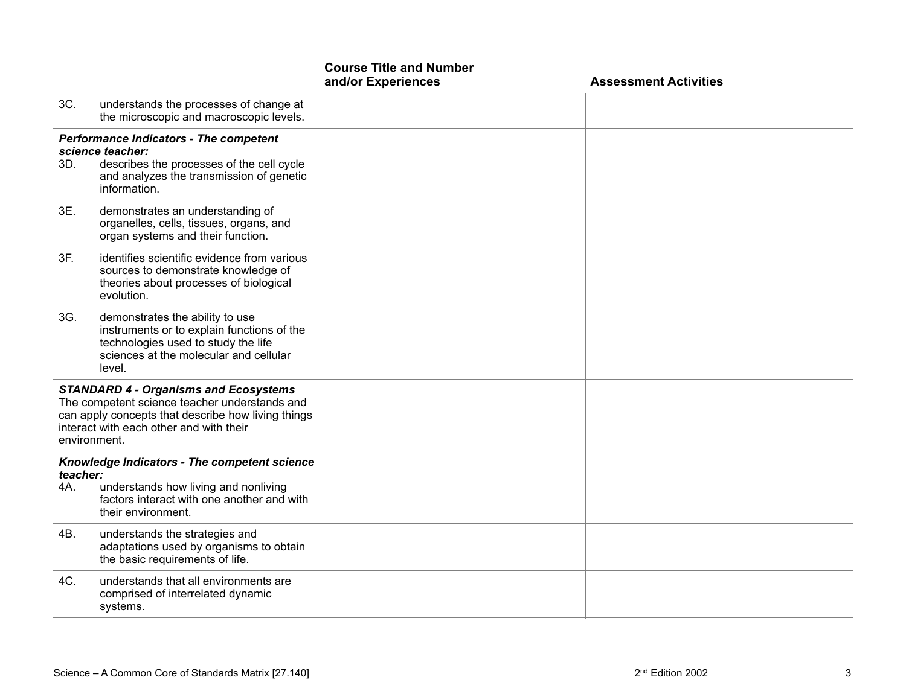|                                                                                                                                                                                                                |                                                                                                                                                                            | <b>Course Title and Number</b><br>and/or Experiences | <b>Assessment Activities</b> |
|----------------------------------------------------------------------------------------------------------------------------------------------------------------------------------------------------------------|----------------------------------------------------------------------------------------------------------------------------------------------------------------------------|------------------------------------------------------|------------------------------|
| 3C.                                                                                                                                                                                                            | understands the processes of change at<br>the microscopic and macroscopic levels.                                                                                          |                                                      |                              |
| 3D.                                                                                                                                                                                                            | <b>Performance Indicators - The competent</b><br>science teacher:<br>describes the processes of the cell cycle<br>and analyzes the transmission of genetic<br>information. |                                                      |                              |
| 3E.                                                                                                                                                                                                            | demonstrates an understanding of<br>organelles, cells, tissues, organs, and<br>organ systems and their function.                                                           |                                                      |                              |
| 3F.                                                                                                                                                                                                            | identifies scientific evidence from various<br>sources to demonstrate knowledge of<br>theories about processes of biological<br>evolution.                                 |                                                      |                              |
| 3G.                                                                                                                                                                                                            | demonstrates the ability to use<br>instruments or to explain functions of the<br>technologies used to study the life<br>sciences at the molecular and cellular<br>level.   |                                                      |                              |
| <b>STANDARD 4 - Organisms and Ecosystems</b><br>The competent science teacher understands and<br>can apply concepts that describe how living things<br>interact with each other and with their<br>environment. |                                                                                                                                                                            |                                                      |                              |
| teacher:<br>4A.                                                                                                                                                                                                | Knowledge Indicators - The competent science<br>understands how living and nonliving<br>factors interact with one another and with<br>their environment.                   |                                                      |                              |
| 4B.                                                                                                                                                                                                            | understands the strategies and<br>adaptations used by organisms to obtain<br>the basic requirements of life.                                                               |                                                      |                              |
| 4C.                                                                                                                                                                                                            | understands that all environments are<br>comprised of interrelated dynamic<br>systems.                                                                                     |                                                      |                              |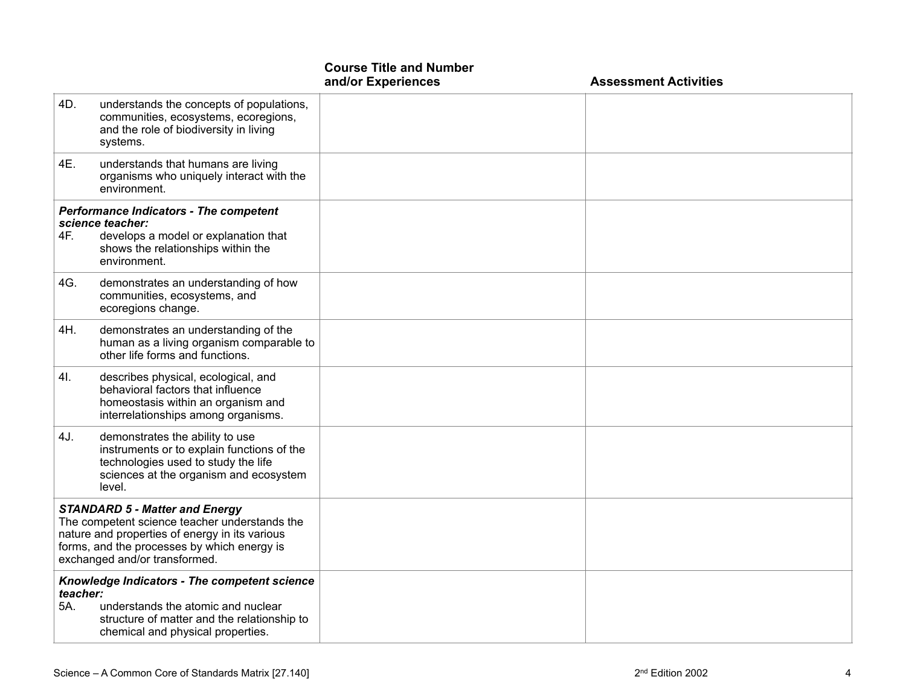|                                                                                                                                                                                                                          |                                                                                                                                                                          | <b>Course Title and Number</b><br>and/or Experiences | <b>Assessment Activities</b> |
|--------------------------------------------------------------------------------------------------------------------------------------------------------------------------------------------------------------------------|--------------------------------------------------------------------------------------------------------------------------------------------------------------------------|------------------------------------------------------|------------------------------|
| 4D.                                                                                                                                                                                                                      | understands the concepts of populations,<br>communities, ecosystems, ecoregions,<br>and the role of biodiversity in living<br>systems.                                   |                                                      |                              |
| 4E.                                                                                                                                                                                                                      | understands that humans are living<br>organisms who uniquely interact with the<br>environment.                                                                           |                                                      |                              |
| 4F.                                                                                                                                                                                                                      | <b>Performance Indicators - The competent</b><br>science teacher:<br>develops a model or explanation that<br>shows the relationships within the<br>environment.          |                                                      |                              |
| 4G.                                                                                                                                                                                                                      | demonstrates an understanding of how<br>communities, ecosystems, and<br>ecoregions change.                                                                               |                                                      |                              |
| 4H.                                                                                                                                                                                                                      | demonstrates an understanding of the<br>human as a living organism comparable to<br>other life forms and functions.                                                      |                                                      |                              |
| 4I.                                                                                                                                                                                                                      | describes physical, ecological, and<br>behavioral factors that influence<br>homeostasis within an organism and<br>interrelationships among organisms.                    |                                                      |                              |
| 4J.                                                                                                                                                                                                                      | demonstrates the ability to use<br>instruments or to explain functions of the<br>technologies used to study the life<br>sciences at the organism and ecosystem<br>level. |                                                      |                              |
| <b>STANDARD 5 - Matter and Energy</b><br>The competent science teacher understands the<br>nature and properties of energy in its various<br>forms, and the processes by which energy is<br>exchanged and/or transformed. |                                                                                                                                                                          |                                                      |                              |
| Knowledge Indicators - The competent science<br>teacher:<br>5A.<br>understands the atomic and nuclear<br>structure of matter and the relationship to<br>chemical and physical properties.                                |                                                                                                                                                                          |                                                      |                              |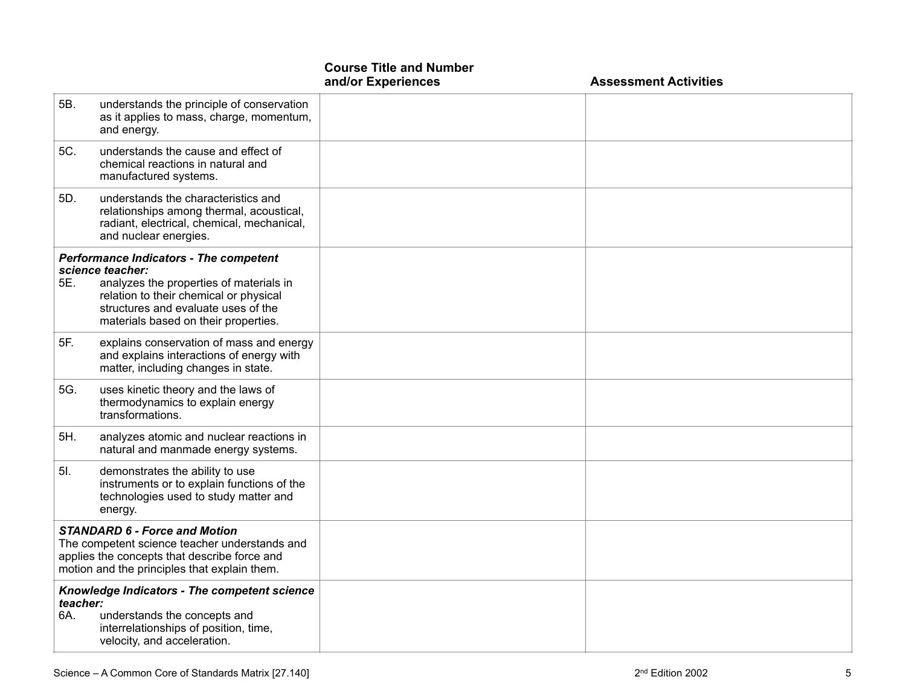|                 |                                                                                                                                                                                                                                       | <b>Course Title and Number</b><br>and/or Experiences | <b>Assessment Activities</b> |
|-----------------|---------------------------------------------------------------------------------------------------------------------------------------------------------------------------------------------------------------------------------------|------------------------------------------------------|------------------------------|
| 5B.             | understands the principle of conservation<br>as it applies to mass, charge, momentum,<br>and energy.                                                                                                                                  |                                                      |                              |
| 5C.             | understands the cause and effect of<br>chemical reactions in natural and<br>manufactured systems.                                                                                                                                     |                                                      |                              |
| 5D.             | understands the characteristics and<br>relationships among thermal, acoustical,<br>radiant, electrical, chemical, mechanical,<br>and nuclear energies.                                                                                |                                                      |                              |
| 5E.             | <b>Performance Indicators - The competent</b><br>science teacher:<br>analyzes the properties of materials in<br>relation to their chemical or physical<br>structures and evaluate uses of the<br>materials based on their properties. |                                                      |                              |
| 5F.             | explains conservation of mass and energy<br>and explains interactions of energy with<br>matter, including changes in state.                                                                                                           |                                                      |                              |
| 5G.             | uses kinetic theory and the laws of<br>thermodynamics to explain energy<br>transformations.                                                                                                                                           |                                                      |                              |
| 5H.             | analyzes atomic and nuclear reactions in<br>natural and manmade energy systems.                                                                                                                                                       |                                                      |                              |
| 5I.             | demonstrates the ability to use<br>instruments or to explain functions of the<br>technologies used to study matter and<br>energy.                                                                                                     |                                                      |                              |
|                 | <b>STANDARD 6 - Force and Motion</b><br>The competent science teacher understands and<br>applies the concepts that describe force and<br>motion and the principles that explain them.                                                 |                                                      |                              |
| teacher:<br>6A. | Knowledge Indicators - The competent science<br>understands the concepts and<br>interrelationships of position, time,<br>velocity, and acceleration.                                                                                  |                                                      |                              |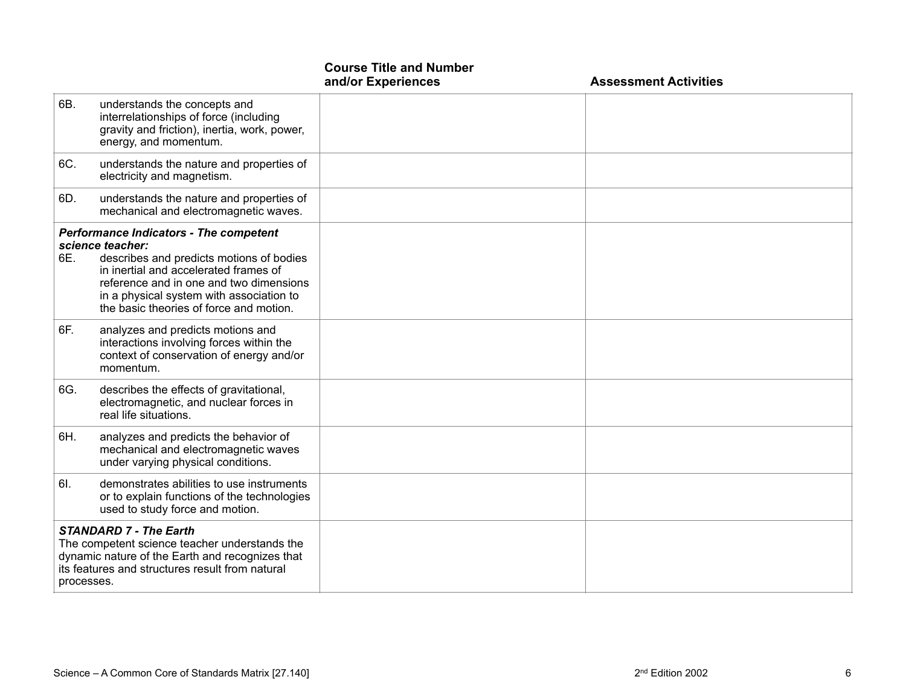|            |                                                                                                                                                                                                                                                                                          | <b>Course Title and Number</b><br>and/or Experiences | <b>Assessment Activities</b> |
|------------|------------------------------------------------------------------------------------------------------------------------------------------------------------------------------------------------------------------------------------------------------------------------------------------|------------------------------------------------------|------------------------------|
| 6B.        | understands the concepts and<br>interrelationships of force (including<br>gravity and friction), inertia, work, power,<br>energy, and momentum.                                                                                                                                          |                                                      |                              |
| 6C.        | understands the nature and properties of<br>electricity and magnetism.                                                                                                                                                                                                                   |                                                      |                              |
| 6D.        | understands the nature and properties of<br>mechanical and electromagnetic waves.                                                                                                                                                                                                        |                                                      |                              |
| 6E.        | <b>Performance Indicators - The competent</b><br>science teacher:<br>describes and predicts motions of bodies<br>in inertial and accelerated frames of<br>reference and in one and two dimensions<br>in a physical system with association to<br>the basic theories of force and motion. |                                                      |                              |
| 6F.        | analyzes and predicts motions and<br>interactions involving forces within the<br>context of conservation of energy and/or<br>momentum.                                                                                                                                                   |                                                      |                              |
| 6G.        | describes the effects of gravitational,<br>electromagnetic, and nuclear forces in<br>real life situations.                                                                                                                                                                               |                                                      |                              |
| 6H.        | analyzes and predicts the behavior of<br>mechanical and electromagnetic waves<br>under varying physical conditions.                                                                                                                                                                      |                                                      |                              |
| 6I.        | demonstrates abilities to use instruments<br>or to explain functions of the technologies<br>used to study force and motion.                                                                                                                                                              |                                                      |                              |
| processes. | <b>STANDARD 7 - The Earth</b><br>The competent science teacher understands the<br>dynamic nature of the Earth and recognizes that<br>its features and structures result from natural                                                                                                     |                                                      |                              |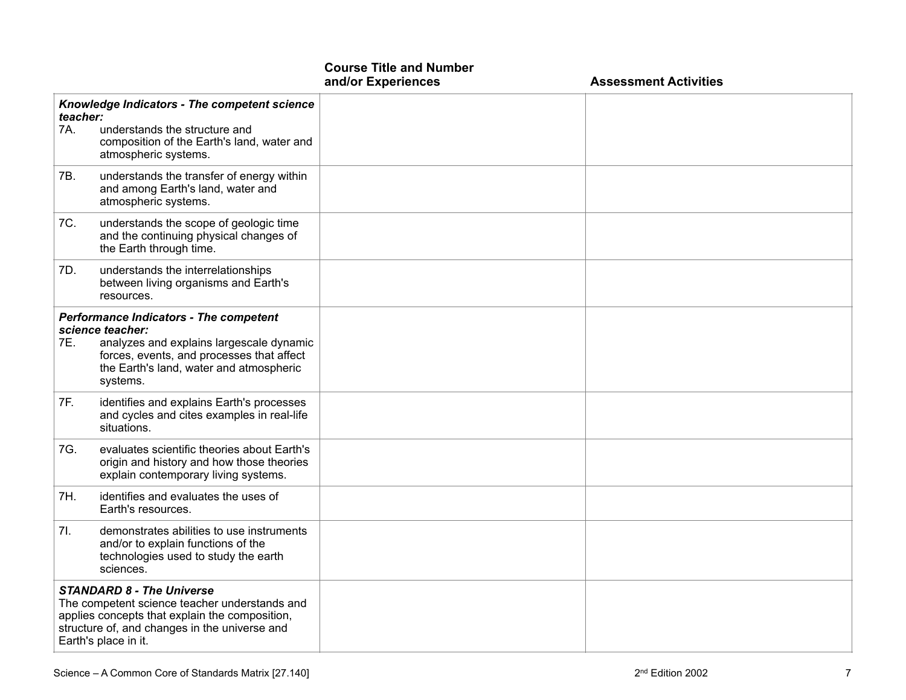|                                                                                                                                                                                                              |                                                                                                                                                                                                                   | and/or Experiences | <b>Assessment Activities</b> |
|--------------------------------------------------------------------------------------------------------------------------------------------------------------------------------------------------------------|-------------------------------------------------------------------------------------------------------------------------------------------------------------------------------------------------------------------|--------------------|------------------------------|
| teacher:<br>7A.                                                                                                                                                                                              | Knowledge Indicators - The competent science<br>understands the structure and<br>composition of the Earth's land, water and<br>atmospheric systems.                                                               |                    |                              |
| 7B.                                                                                                                                                                                                          | understands the transfer of energy within<br>and among Earth's land, water and<br>atmospheric systems.                                                                                                            |                    |                              |
| 7C.                                                                                                                                                                                                          | understands the scope of geologic time<br>and the continuing physical changes of<br>the Earth through time.                                                                                                       |                    |                              |
| 7D.                                                                                                                                                                                                          | understands the interrelationships<br>between living organisms and Earth's<br>resources.                                                                                                                          |                    |                              |
| 7E.                                                                                                                                                                                                          | <b>Performance Indicators - The competent</b><br>science teacher:<br>analyzes and explains largescale dynamic<br>forces, events, and processes that affect<br>the Earth's land, water and atmospheric<br>systems. |                    |                              |
| 7F.                                                                                                                                                                                                          | identifies and explains Earth's processes<br>and cycles and cites examples in real-life<br>situations.                                                                                                            |                    |                              |
| 7G.                                                                                                                                                                                                          | evaluates scientific theories about Earth's<br>origin and history and how those theories<br>explain contemporary living systems.                                                                                  |                    |                              |
| 7H.                                                                                                                                                                                                          | identifies and evaluates the uses of<br>Earth's resources.                                                                                                                                                        |                    |                              |
| 7l.                                                                                                                                                                                                          | demonstrates abilities to use instruments<br>and/or to explain functions of the<br>technologies used to study the earth<br>sciences.                                                                              |                    |                              |
| <b>STANDARD 8 - The Universe</b><br>The competent science teacher understands and<br>applies concepts that explain the composition,<br>structure of, and changes in the universe and<br>Earth's place in it. |                                                                                                                                                                                                                   |                    |                              |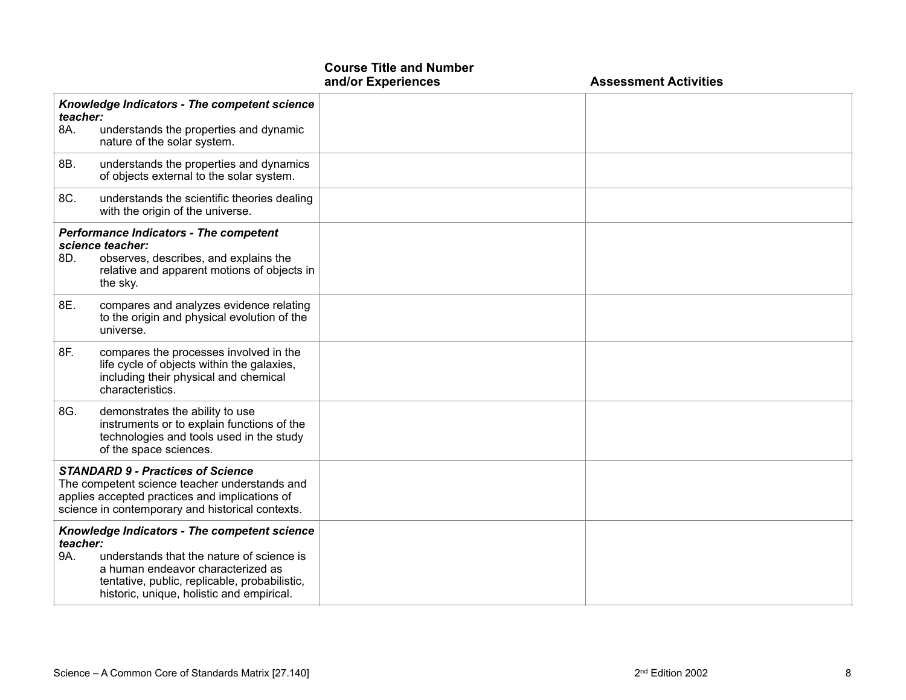|                                                                                                                                                                                                 |                                                                                                                                                                                                                              | and/or Experiences | <b>Assessment Activities</b> |
|-------------------------------------------------------------------------------------------------------------------------------------------------------------------------------------------------|------------------------------------------------------------------------------------------------------------------------------------------------------------------------------------------------------------------------------|--------------------|------------------------------|
| teacher:<br>8A.                                                                                                                                                                                 | Knowledge Indicators - The competent science<br>understands the properties and dynamic<br>nature of the solar system.                                                                                                        |                    |                              |
| 8B.                                                                                                                                                                                             | understands the properties and dynamics<br>of objects external to the solar system.                                                                                                                                          |                    |                              |
| 8C.                                                                                                                                                                                             | understands the scientific theories dealing<br>with the origin of the universe.                                                                                                                                              |                    |                              |
| 8D.                                                                                                                                                                                             | <b>Performance Indicators - The competent</b><br>science teacher:<br>observes, describes, and explains the<br>relative and apparent motions of objects in<br>the sky.                                                        |                    |                              |
| 8E.                                                                                                                                                                                             | compares and analyzes evidence relating<br>to the origin and physical evolution of the<br>universe.                                                                                                                          |                    |                              |
| 8F.                                                                                                                                                                                             | compares the processes involved in the<br>life cycle of objects within the galaxies,<br>including their physical and chemical<br>characteristics.                                                                            |                    |                              |
| 8G.                                                                                                                                                                                             | demonstrates the ability to use<br>instruments or to explain functions of the<br>technologies and tools used in the study<br>of the space sciences.                                                                          |                    |                              |
| <b>STANDARD 9 - Practices of Science</b><br>The competent science teacher understands and<br>applies accepted practices and implications of<br>science in contemporary and historical contexts. |                                                                                                                                                                                                                              |                    |                              |
| teacher:<br>9A.                                                                                                                                                                                 | Knowledge Indicators - The competent science<br>understands that the nature of science is<br>a human endeavor characterized as<br>tentative, public, replicable, probabilistic,<br>historic, unique, holistic and empirical. |                    |                              |

**Course Title and Number**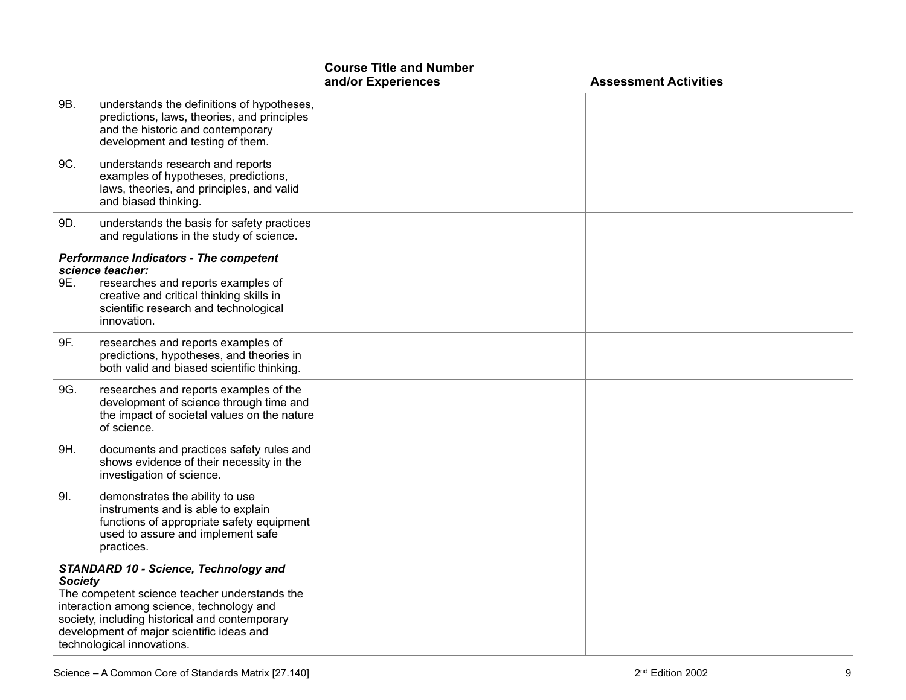|                                                                                                                                                                                                                                                                                           |                                                                                                                                                                                                             | <b>Course Title and Number</b><br>and/or Experiences | <b>Assessment Activities</b> |
|-------------------------------------------------------------------------------------------------------------------------------------------------------------------------------------------------------------------------------------------------------------------------------------------|-------------------------------------------------------------------------------------------------------------------------------------------------------------------------------------------------------------|------------------------------------------------------|------------------------------|
| 9B.                                                                                                                                                                                                                                                                                       | understands the definitions of hypotheses,<br>predictions, laws, theories, and principles<br>and the historic and contemporary<br>development and testing of them.                                          |                                                      |                              |
| 9C.                                                                                                                                                                                                                                                                                       | understands research and reports<br>examples of hypotheses, predictions,<br>laws, theories, and principles, and valid<br>and biased thinking.                                                               |                                                      |                              |
| 9D.                                                                                                                                                                                                                                                                                       | understands the basis for safety practices<br>and regulations in the study of science.                                                                                                                      |                                                      |                              |
| 9E.                                                                                                                                                                                                                                                                                       | <b>Performance Indicators - The competent</b><br>science teacher:<br>researches and reports examples of<br>creative and critical thinking skills in<br>scientific research and technological<br>innovation. |                                                      |                              |
| 9F.                                                                                                                                                                                                                                                                                       | researches and reports examples of<br>predictions, hypotheses, and theories in<br>both valid and biased scientific thinking.                                                                                |                                                      |                              |
| 9G.                                                                                                                                                                                                                                                                                       | researches and reports examples of the<br>development of science through time and<br>the impact of societal values on the nature<br>of science.                                                             |                                                      |                              |
| 9H.                                                                                                                                                                                                                                                                                       | documents and practices safety rules and<br>shows evidence of their necessity in the<br>investigation of science.                                                                                           |                                                      |                              |
| 9I.                                                                                                                                                                                                                                                                                       | demonstrates the ability to use<br>instruments and is able to explain<br>functions of appropriate safety equipment<br>used to assure and implement safe<br>practices.                                       |                                                      |                              |
| <b>STANDARD 10 - Science, Technology and</b><br><b>Society</b><br>The competent science teacher understands the<br>interaction among science, technology and<br>society, including historical and contemporary<br>development of major scientific ideas and<br>technological innovations. |                                                                                                                                                                                                             |                                                      |                              |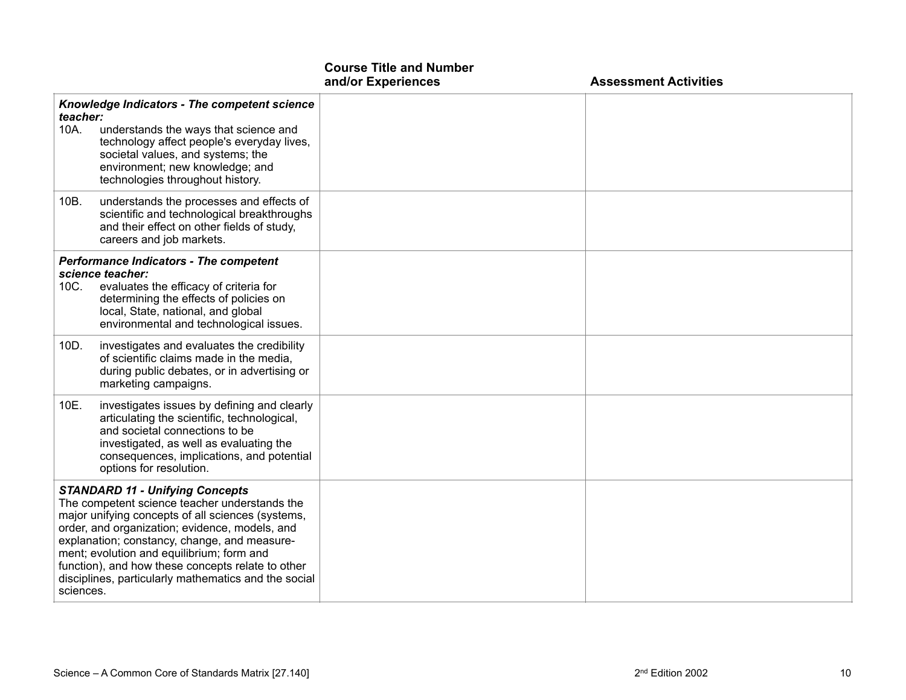|                                                                                                                                                                                                                                                                                                                                                                                                                       |                                                                                                                                                                                                                                                 | <b>Course Title and Number</b><br>and/or Experiences | <b>Assessment Activities</b> |
|-----------------------------------------------------------------------------------------------------------------------------------------------------------------------------------------------------------------------------------------------------------------------------------------------------------------------------------------------------------------------------------------------------------------------|-------------------------------------------------------------------------------------------------------------------------------------------------------------------------------------------------------------------------------------------------|------------------------------------------------------|------------------------------|
| teacher:<br>10A.                                                                                                                                                                                                                                                                                                                                                                                                      | Knowledge Indicators - The competent science<br>understands the ways that science and<br>technology affect people's everyday lives,<br>societal values, and systems; the<br>environment; new knowledge; and<br>technologies throughout history. |                                                      |                              |
| 10B.                                                                                                                                                                                                                                                                                                                                                                                                                  | understands the processes and effects of<br>scientific and technological breakthroughs<br>and their effect on other fields of study,<br>careers and job markets.                                                                                |                                                      |                              |
| 10C.                                                                                                                                                                                                                                                                                                                                                                                                                  | <b>Performance Indicators - The competent</b><br>science teacher:<br>evaluates the efficacy of criteria for<br>determining the effects of policies on<br>local, State, national, and global<br>environmental and technological issues.          |                                                      |                              |
| 10D.                                                                                                                                                                                                                                                                                                                                                                                                                  | investigates and evaluates the credibility<br>of scientific claims made in the media,<br>during public debates, or in advertising or<br>marketing campaigns.                                                                                    |                                                      |                              |
| 10E.                                                                                                                                                                                                                                                                                                                                                                                                                  | investigates issues by defining and clearly<br>articulating the scientific, technological,<br>and societal connections to be<br>investigated, as well as evaluating the<br>consequences, implications, and potential<br>options for resolution. |                                                      |                              |
| <b>STANDARD 11 - Unifying Concepts</b><br>The competent science teacher understands the<br>major unifying concepts of all sciences (systems,<br>order, and organization; evidence, models, and<br>explanation; constancy, change, and measure-<br>ment; evolution and equilibrium; form and<br>function), and how these concepts relate to other<br>disciplines, particularly mathematics and the social<br>sciences. |                                                                                                                                                                                                                                                 |                                                      |                              |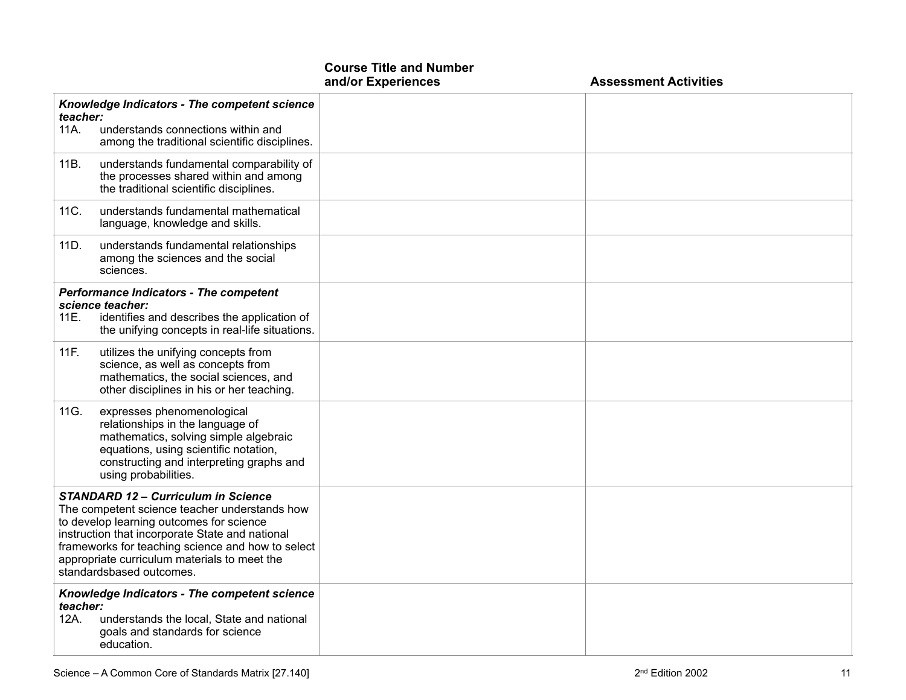|                                                                                                                                                                                                                                                                                                                             |                                                                                                                                                                                                                      | and/or Experiences | <b>Assessment Activities</b> |
|-----------------------------------------------------------------------------------------------------------------------------------------------------------------------------------------------------------------------------------------------------------------------------------------------------------------------------|----------------------------------------------------------------------------------------------------------------------------------------------------------------------------------------------------------------------|--------------------|------------------------------|
| teacher:<br>11A.                                                                                                                                                                                                                                                                                                            | Knowledge Indicators - The competent science<br>understands connections within and<br>among the traditional scientific disciplines.                                                                                  |                    |                              |
| 11B.                                                                                                                                                                                                                                                                                                                        | understands fundamental comparability of<br>the processes shared within and among<br>the traditional scientific disciplines.                                                                                         |                    |                              |
| 11C.                                                                                                                                                                                                                                                                                                                        | understands fundamental mathematical<br>language, knowledge and skills.                                                                                                                                              |                    |                              |
| 11D.                                                                                                                                                                                                                                                                                                                        | understands fundamental relationships<br>among the sciences and the social<br>sciences.                                                                                                                              |                    |                              |
| 11E.                                                                                                                                                                                                                                                                                                                        | <b>Performance Indicators - The competent</b><br>science teacher:<br>identifies and describes the application of<br>the unifying concepts in real-life situations.                                                   |                    |                              |
| 11F.                                                                                                                                                                                                                                                                                                                        | utilizes the unifying concepts from<br>science, as well as concepts from<br>mathematics, the social sciences, and<br>other disciplines in his or her teaching.                                                       |                    |                              |
| 11G.                                                                                                                                                                                                                                                                                                                        | expresses phenomenological<br>relationships in the language of<br>mathematics, solving simple algebraic<br>equations, using scientific notation,<br>constructing and interpreting graphs and<br>using probabilities. |                    |                              |
| <b>STANDARD 12 - Curriculum in Science</b><br>The competent science teacher understands how<br>to develop learning outcomes for science<br>instruction that incorporate State and national<br>frameworks for teaching science and how to select<br>appropriate curriculum materials to meet the<br>standardsbased outcomes. |                                                                                                                                                                                                                      |                    |                              |
| Knowledge Indicators - The competent science<br>teacher:<br>understands the local, State and national<br>12A.<br>goals and standards for science<br>education.                                                                                                                                                              |                                                                                                                                                                                                                      |                    |                              |

**Course Title and Number**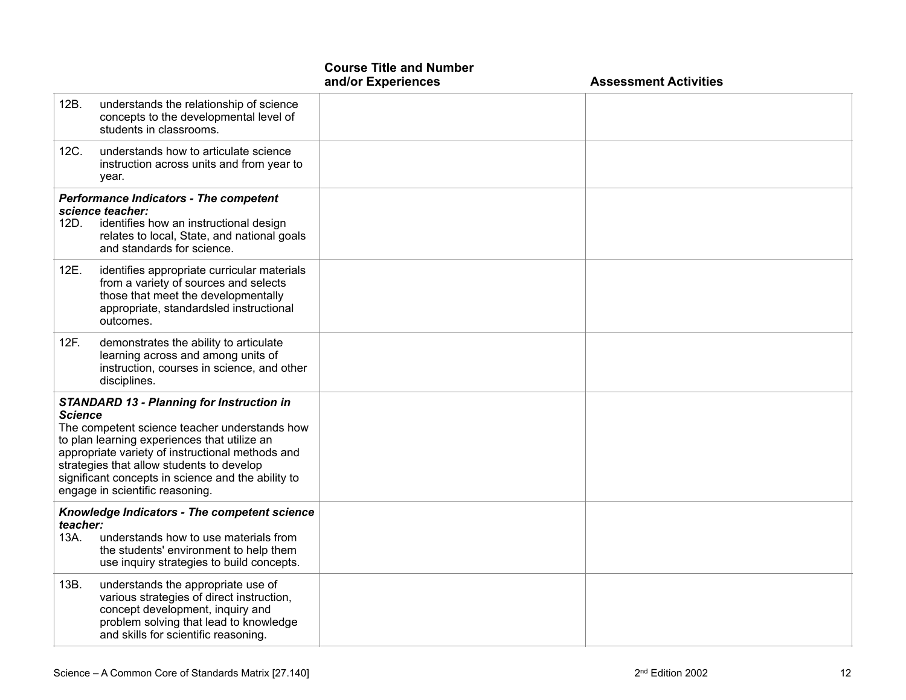|                  |                                                                                                                                                                                                                                                                                                                                             | <b>Course Title and Number</b><br>and/or Experiences | <b>Assessment Activities</b> |
|------------------|---------------------------------------------------------------------------------------------------------------------------------------------------------------------------------------------------------------------------------------------------------------------------------------------------------------------------------------------|------------------------------------------------------|------------------------------|
| 12B.             | understands the relationship of science<br>concepts to the developmental level of<br>students in classrooms.                                                                                                                                                                                                                                |                                                      |                              |
| 12C.             | understands how to articulate science<br>instruction across units and from year to<br>year.                                                                                                                                                                                                                                                 |                                                      |                              |
| 12D.             | <b>Performance Indicators - The competent</b><br>science teacher:<br>identifies how an instructional design<br>relates to local, State, and national goals<br>and standards for science.                                                                                                                                                    |                                                      |                              |
| 12E.             | identifies appropriate curricular materials<br>from a variety of sources and selects<br>those that meet the developmentally<br>appropriate, standardsled instructional<br>outcomes.                                                                                                                                                         |                                                      |                              |
| 12F.             | demonstrates the ability to articulate<br>learning across and among units of<br>instruction, courses in science, and other<br>disciplines.                                                                                                                                                                                                  |                                                      |                              |
| Science          | <b>STANDARD 13 - Planning for Instruction in</b><br>The competent science teacher understands how<br>to plan learning experiences that utilize an<br>appropriate variety of instructional methods and<br>strategies that allow students to develop<br>significant concepts in science and the ability to<br>engage in scientific reasoning. |                                                      |                              |
| teacher:<br>13A. | Knowledge Indicators - The competent science<br>understands how to use materials from<br>the students' environment to help them<br>use inquiry strategies to build concepts.                                                                                                                                                                |                                                      |                              |
| 13B.             | understands the appropriate use of<br>various strategies of direct instruction,<br>concept development, inquiry and<br>problem solving that lead to knowledge<br>and skills for scientific reasoning.                                                                                                                                       |                                                      |                              |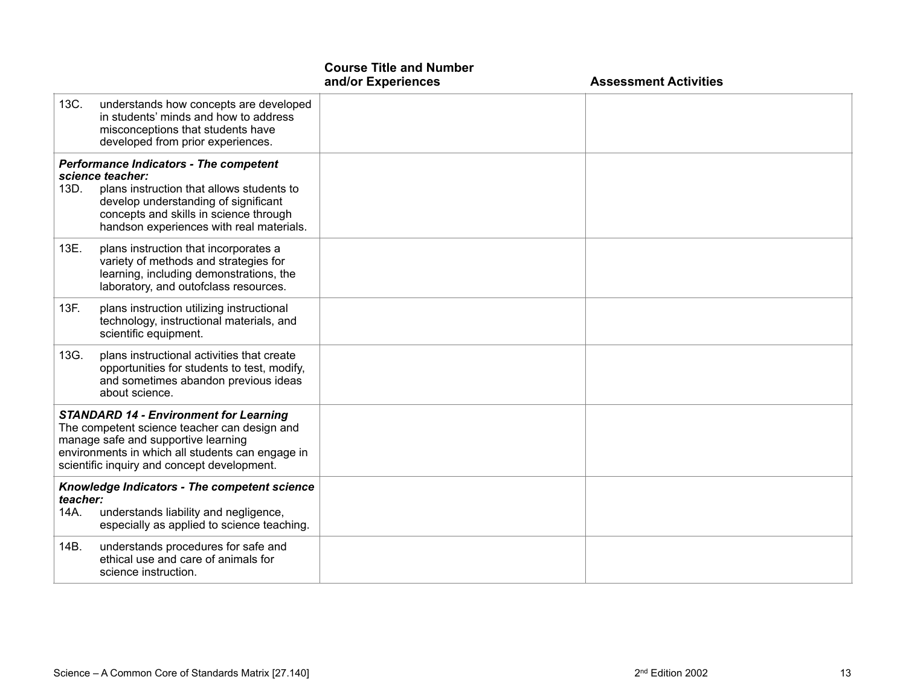|                                                                                                                                                                                                                                         |                                                                                                                                                                                                                                              | <b>Course Title and Number</b><br>and/or Experiences | <b>Assessment Activities</b> |
|-----------------------------------------------------------------------------------------------------------------------------------------------------------------------------------------------------------------------------------------|----------------------------------------------------------------------------------------------------------------------------------------------------------------------------------------------------------------------------------------------|------------------------------------------------------|------------------------------|
| 13C.                                                                                                                                                                                                                                    | understands how concepts are developed<br>in students' minds and how to address<br>misconceptions that students have<br>developed from prior experiences.                                                                                    |                                                      |                              |
| 13D.                                                                                                                                                                                                                                    | <b>Performance Indicators - The competent</b><br>science teacher:<br>plans instruction that allows students to<br>develop understanding of significant<br>concepts and skills in science through<br>handson experiences with real materials. |                                                      |                              |
| 13E.                                                                                                                                                                                                                                    | plans instruction that incorporates a<br>variety of methods and strategies for<br>learning, including demonstrations, the<br>laboratory, and outofclass resources.                                                                           |                                                      |                              |
| 13F.                                                                                                                                                                                                                                    | plans instruction utilizing instructional<br>technology, instructional materials, and<br>scientific equipment.                                                                                                                               |                                                      |                              |
| 13G.                                                                                                                                                                                                                                    | plans instructional activities that create<br>opportunities for students to test, modify,<br>and sometimes abandon previous ideas<br>about science.                                                                                          |                                                      |                              |
| <b>STANDARD 14 - Environment for Learning</b><br>The competent science teacher can design and<br>manage safe and supportive learning<br>environments in which all students can engage in<br>scientific inquiry and concept development. |                                                                                                                                                                                                                                              |                                                      |                              |
| teacher:<br>14A.                                                                                                                                                                                                                        | Knowledge Indicators - The competent science<br>understands liability and negligence,<br>especially as applied to science teaching.                                                                                                          |                                                      |                              |
| 14B.                                                                                                                                                                                                                                    | understands procedures for safe and<br>ethical use and care of animals for<br>science instruction.                                                                                                                                           |                                                      |                              |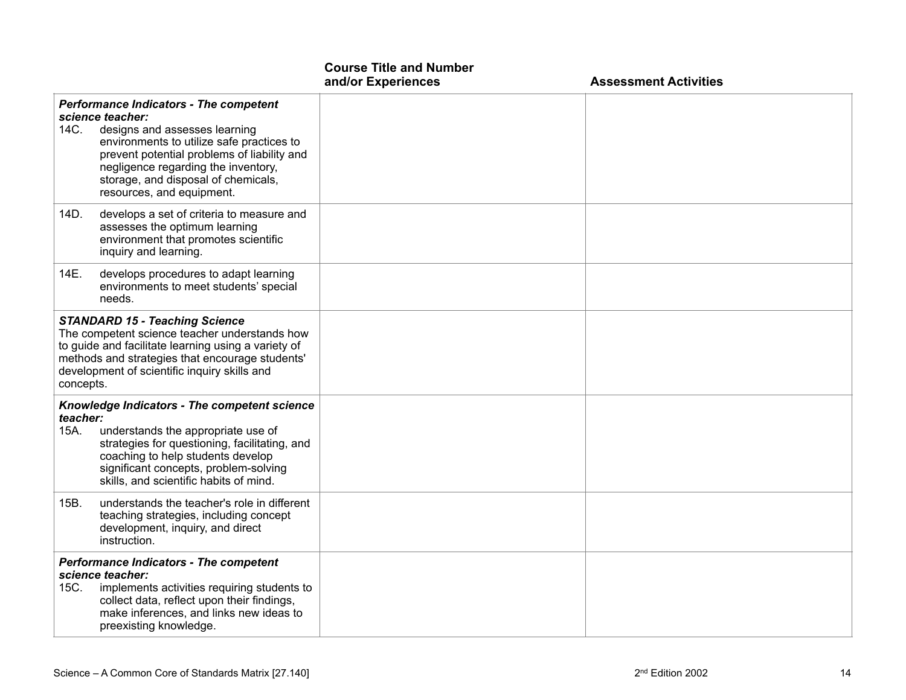|                                                                                                                                                                                                                                                               |                                                                                                                                                                                                                                                                                                           | <b>Course Title and Number</b><br>and/or Experiences | <b>Assessment Activities</b> |
|---------------------------------------------------------------------------------------------------------------------------------------------------------------------------------------------------------------------------------------------------------------|-----------------------------------------------------------------------------------------------------------------------------------------------------------------------------------------------------------------------------------------------------------------------------------------------------------|------------------------------------------------------|------------------------------|
| 14C.                                                                                                                                                                                                                                                          | <b>Performance Indicators - The competent</b><br>science teacher:<br>designs and assesses learning<br>environments to utilize safe practices to<br>prevent potential problems of liability and<br>negligence regarding the inventory,<br>storage, and disposal of chemicals,<br>resources, and equipment. |                                                      |                              |
| 14D.                                                                                                                                                                                                                                                          | develops a set of criteria to measure and<br>assesses the optimum learning<br>environment that promotes scientific<br>inquiry and learning.                                                                                                                                                               |                                                      |                              |
| 14E.                                                                                                                                                                                                                                                          | develops procedures to adapt learning<br>environments to meet students' special<br>needs.                                                                                                                                                                                                                 |                                                      |                              |
| <b>STANDARD 15 - Teaching Science</b><br>The competent science teacher understands how<br>to guide and facilitate learning using a variety of<br>methods and strategies that encourage students'<br>development of scientific inquiry skills and<br>concepts. |                                                                                                                                                                                                                                                                                                           |                                                      |                              |
| teacher:<br>15A.                                                                                                                                                                                                                                              | <b>Knowledge Indicators - The competent science</b><br>understands the appropriate use of<br>strategies for questioning, facilitating, and<br>coaching to help students develop<br>significant concepts, problem-solving<br>skills, and scientific habits of mind.                                        |                                                      |                              |
| 15B.                                                                                                                                                                                                                                                          | understands the teacher's role in different<br>teaching strategies, including concept<br>development, inquiry, and direct<br>instruction.                                                                                                                                                                 |                                                      |                              |
| 15C.                                                                                                                                                                                                                                                          | <b>Performance Indicators - The competent</b><br>science teacher:<br>implements activities requiring students to<br>collect data, reflect upon their findings,<br>make inferences, and links new ideas to<br>preexisting knowledge.                                                                       |                                                      |                              |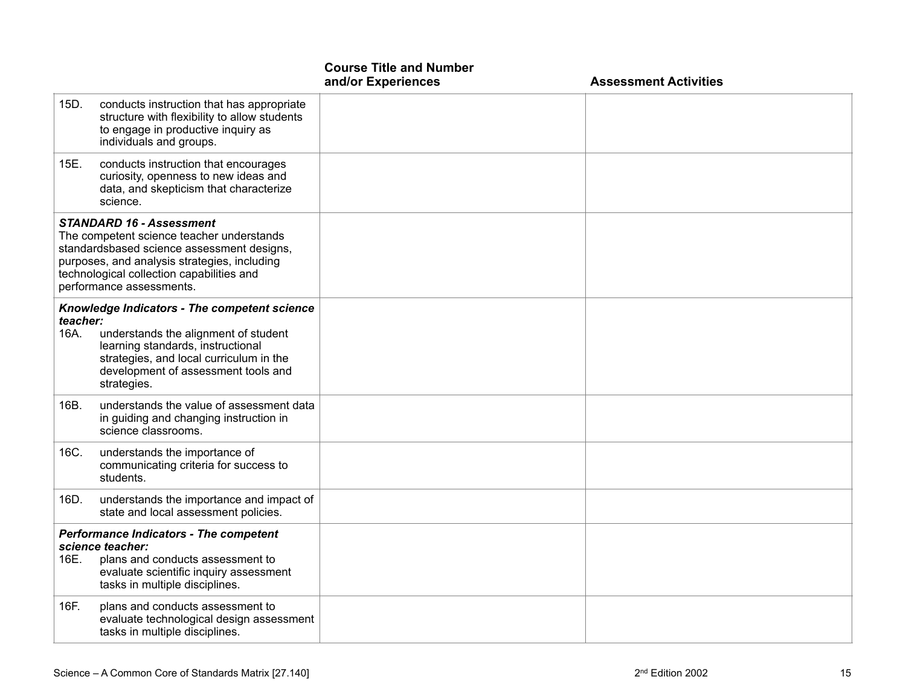|                                                                                                                                                                                                                                                     |                                                                                                                                                                                                                            | <b>Course Title and Number</b><br>and/or Experiences | <b>Assessment Activities</b> |
|-----------------------------------------------------------------------------------------------------------------------------------------------------------------------------------------------------------------------------------------------------|----------------------------------------------------------------------------------------------------------------------------------------------------------------------------------------------------------------------------|------------------------------------------------------|------------------------------|
| 15D.                                                                                                                                                                                                                                                | conducts instruction that has appropriate<br>structure with flexibility to allow students<br>to engage in productive inquiry as<br>individuals and groups.                                                                 |                                                      |                              |
| 15E.                                                                                                                                                                                                                                                | conducts instruction that encourages<br>curiosity, openness to new ideas and<br>data, and skepticism that characterize<br>science.                                                                                         |                                                      |                              |
| <b>STANDARD 16 - Assessment</b><br>The competent science teacher understands<br>standardsbased science assessment designs,<br>purposes, and analysis strategies, including<br>technological collection capabilities and<br>performance assessments. |                                                                                                                                                                                                                            |                                                      |                              |
| teacher:<br>16A.                                                                                                                                                                                                                                    | Knowledge Indicators - The competent science<br>understands the alignment of student<br>learning standards, instructional<br>strategies, and local curriculum in the<br>development of assessment tools and<br>strategies. |                                                      |                              |
| 16B.                                                                                                                                                                                                                                                | understands the value of assessment data<br>in guiding and changing instruction in<br>science classrooms.                                                                                                                  |                                                      |                              |
| 16C.                                                                                                                                                                                                                                                | understands the importance of<br>communicating criteria for success to<br>students.                                                                                                                                        |                                                      |                              |
| 16D.                                                                                                                                                                                                                                                | understands the importance and impact of<br>state and local assessment policies.                                                                                                                                           |                                                      |                              |
| 16E.                                                                                                                                                                                                                                                | <b>Performance Indicators - The competent</b><br>science teacher:<br>plans and conducts assessment to<br>evaluate scientific inquiry assessment<br>tasks in multiple disciplines.                                          |                                                      |                              |
| 16F.                                                                                                                                                                                                                                                | plans and conducts assessment to<br>evaluate technological design assessment<br>tasks in multiple disciplines.                                                                                                             |                                                      |                              |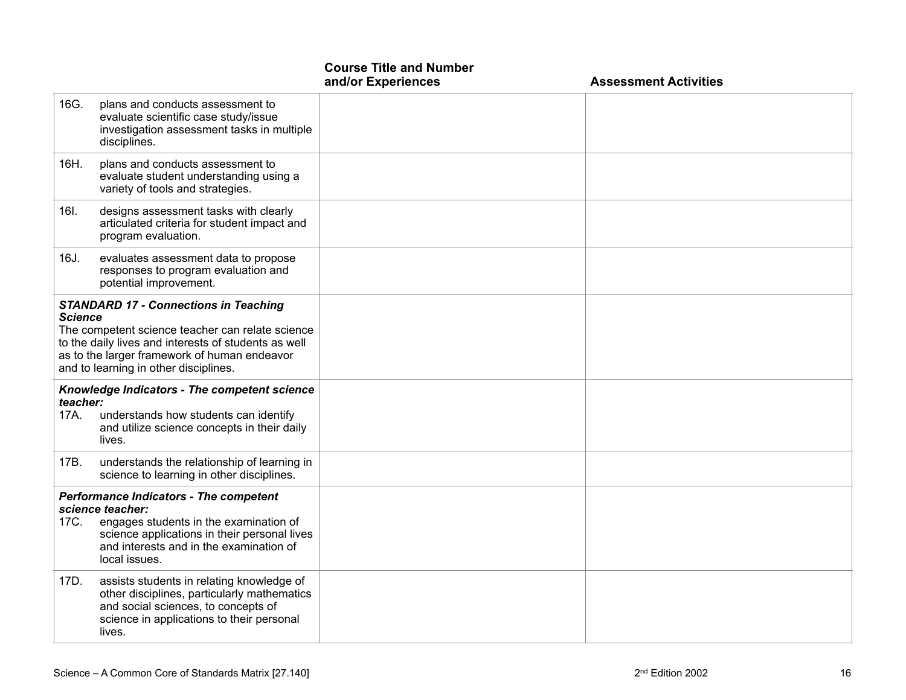|                                                                                                                                                                                                                                                                     |                                                                                                                                                                                                                         | <b>Course Title and Number</b><br>and/or Experiences | <b>Assessment Activities</b> |
|---------------------------------------------------------------------------------------------------------------------------------------------------------------------------------------------------------------------------------------------------------------------|-------------------------------------------------------------------------------------------------------------------------------------------------------------------------------------------------------------------------|------------------------------------------------------|------------------------------|
| 16G.                                                                                                                                                                                                                                                                | plans and conducts assessment to<br>evaluate scientific case study/issue<br>investigation assessment tasks in multiple<br>disciplines.                                                                                  |                                                      |                              |
| 16H.                                                                                                                                                                                                                                                                | plans and conducts assessment to<br>evaluate student understanding using a<br>variety of tools and strategies.                                                                                                          |                                                      |                              |
| 16I.                                                                                                                                                                                                                                                                | designs assessment tasks with clearly<br>articulated criteria for student impact and<br>program evaluation.                                                                                                             |                                                      |                              |
| 16J.                                                                                                                                                                                                                                                                | evaluates assessment data to propose<br>responses to program evaluation and<br>potential improvement.                                                                                                                   |                                                      |                              |
| <b>STANDARD 17 - Connections in Teaching</b><br><b>Science</b><br>The competent science teacher can relate science<br>to the daily lives and interests of students as well<br>as to the larger framework of human endeavor<br>and to learning in other disciplines. |                                                                                                                                                                                                                         |                                                      |                              |
| teacher:<br>17A.                                                                                                                                                                                                                                                    | Knowledge Indicators - The competent science<br>understands how students can identify<br>and utilize science concepts in their daily<br>lives.                                                                          |                                                      |                              |
| 17B.                                                                                                                                                                                                                                                                | understands the relationship of learning in<br>science to learning in other disciplines.                                                                                                                                |                                                      |                              |
| 17C.                                                                                                                                                                                                                                                                | <b>Performance Indicators - The competent</b><br>science teacher:<br>engages students in the examination of<br>science applications in their personal lives<br>and interests and in the examination of<br>local issues. |                                                      |                              |
| 17D.                                                                                                                                                                                                                                                                | assists students in relating knowledge of<br>other disciplines, particularly mathematics<br>and social sciences, to concepts of<br>science in applications to their personal<br>lives.                                  |                                                      |                              |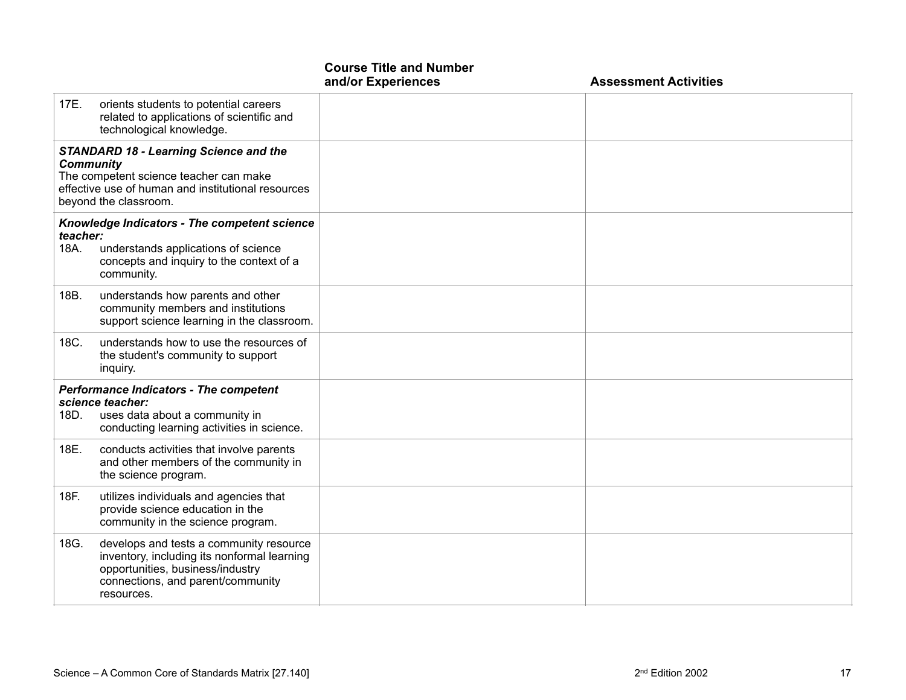|                                                                                                                                                                                            |                                                                                                                                                                               | <b>Course Title and Number</b><br>and/or Experiences | <b>Assessment Activities</b> |
|--------------------------------------------------------------------------------------------------------------------------------------------------------------------------------------------|-------------------------------------------------------------------------------------------------------------------------------------------------------------------------------|------------------------------------------------------|------------------------------|
| 17E.                                                                                                                                                                                       | orients students to potential careers<br>related to applications of scientific and<br>technological knowledge.                                                                |                                                      |                              |
| <b>STANDARD 18 - Learning Science and the</b><br><b>Community</b><br>The competent science teacher can make<br>effective use of human and institutional resources<br>beyond the classroom. |                                                                                                                                                                               |                                                      |                              |
| teacher:<br>18A.                                                                                                                                                                           | <b>Knowledge Indicators - The competent science</b><br>understands applications of science<br>concepts and inquiry to the context of a<br>community.                          |                                                      |                              |
| 18B.                                                                                                                                                                                       | understands how parents and other<br>community members and institutions<br>support science learning in the classroom.                                                         |                                                      |                              |
| 18C.                                                                                                                                                                                       | understands how to use the resources of<br>the student's community to support<br>inquiry.                                                                                     |                                                      |                              |
| 18D.                                                                                                                                                                                       | <b>Performance Indicators - The competent</b><br>science teacher:<br>uses data about a community in<br>conducting learning activities in science.                             |                                                      |                              |
| 18E.                                                                                                                                                                                       | conducts activities that involve parents<br>and other members of the community in<br>the science program.                                                                     |                                                      |                              |
| 18F.                                                                                                                                                                                       | utilizes individuals and agencies that<br>provide science education in the<br>community in the science program.                                                               |                                                      |                              |
| 18G.                                                                                                                                                                                       | develops and tests a community resource<br>inventory, including its nonformal learning<br>opportunities, business/industry<br>connections, and parent/community<br>resources. |                                                      |                              |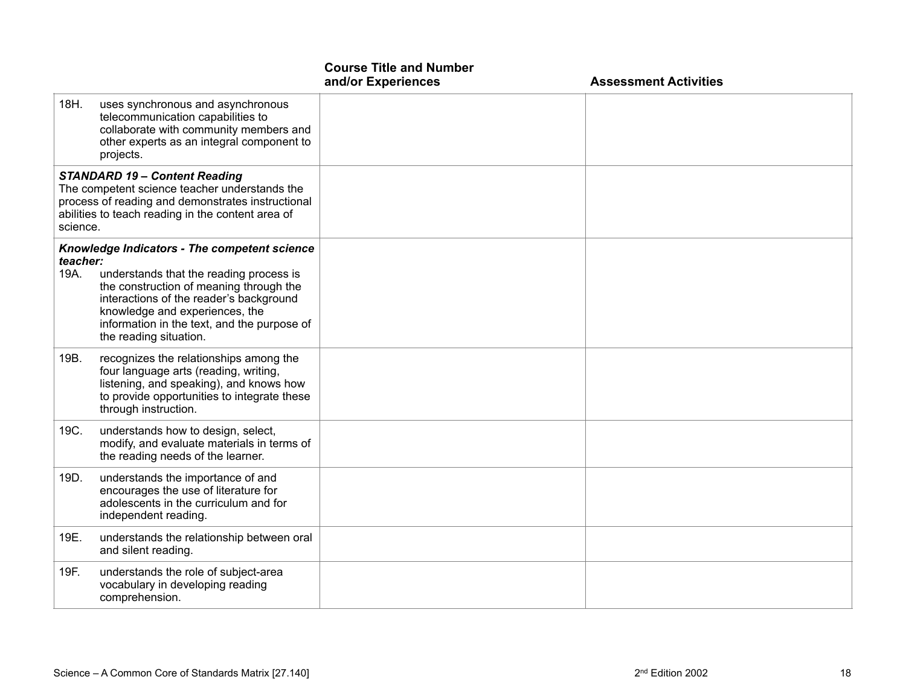|                                                                                                                                                                                                             |                                                                                                                                                                                                                                                                                          | <b>Course Title and Number</b><br>and/or Experiences | <b>Assessment Activities</b> |
|-------------------------------------------------------------------------------------------------------------------------------------------------------------------------------------------------------------|------------------------------------------------------------------------------------------------------------------------------------------------------------------------------------------------------------------------------------------------------------------------------------------|------------------------------------------------------|------------------------------|
| 18H.                                                                                                                                                                                                        | uses synchronous and asynchronous<br>telecommunication capabilities to<br>collaborate with community members and<br>other experts as an integral component to<br>projects.                                                                                                               |                                                      |                              |
| <b>STANDARD 19 - Content Reading</b><br>The competent science teacher understands the<br>process of reading and demonstrates instructional<br>abilities to teach reading in the content area of<br>science. |                                                                                                                                                                                                                                                                                          |                                                      |                              |
| teacher:<br>19A.                                                                                                                                                                                            | Knowledge Indicators - The competent science<br>understands that the reading process is<br>the construction of meaning through the<br>interactions of the reader's background<br>knowledge and experiences, the<br>information in the text, and the purpose of<br>the reading situation. |                                                      |                              |
| 19B.                                                                                                                                                                                                        | recognizes the relationships among the<br>four language arts (reading, writing,<br>listening, and speaking), and knows how<br>to provide opportunities to integrate these<br>through instruction.                                                                                        |                                                      |                              |
| 19C.                                                                                                                                                                                                        | understands how to design, select,<br>modify, and evaluate materials in terms of<br>the reading needs of the learner.                                                                                                                                                                    |                                                      |                              |
| 19D.                                                                                                                                                                                                        | understands the importance of and<br>encourages the use of literature for<br>adolescents in the curriculum and for<br>independent reading.                                                                                                                                               |                                                      |                              |
| 19E.                                                                                                                                                                                                        | understands the relationship between oral<br>and silent reading.                                                                                                                                                                                                                         |                                                      |                              |
| 19F.                                                                                                                                                                                                        | understands the role of subject-area<br>vocabulary in developing reading<br>comprehension.                                                                                                                                                                                               |                                                      |                              |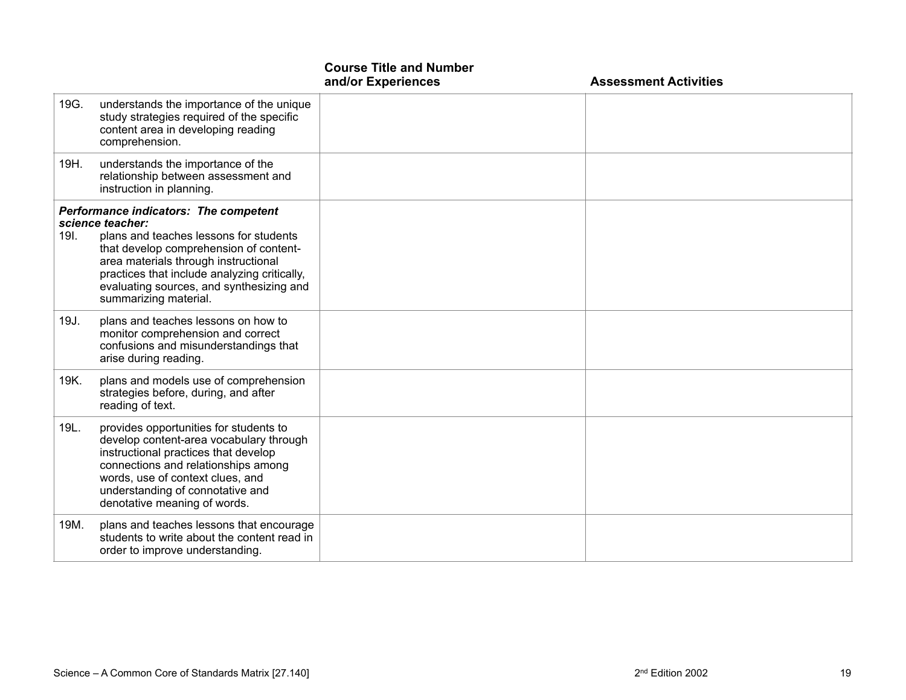|      |                                                                                                                                                                                                                                                                                                                   | <b>Course Title and Number</b><br>and/or Experiences | <b>Assessment Activities</b> |
|------|-------------------------------------------------------------------------------------------------------------------------------------------------------------------------------------------------------------------------------------------------------------------------------------------------------------------|------------------------------------------------------|------------------------------|
| 19G. | understands the importance of the unique<br>study strategies required of the specific<br>content area in developing reading<br>comprehension.                                                                                                                                                                     |                                                      |                              |
| 19H. | understands the importance of the<br>relationship between assessment and<br>instruction in planning.                                                                                                                                                                                                              |                                                      |                              |
| 19I. | <b>Performance indicators: The competent</b><br>science teacher:<br>plans and teaches lessons for students<br>that develop comprehension of content-<br>area materials through instructional<br>practices that include analyzing critically,<br>evaluating sources, and synthesizing and<br>summarizing material. |                                                      |                              |
| 19J. | plans and teaches lessons on how to<br>monitor comprehension and correct<br>confusions and misunderstandings that<br>arise during reading.                                                                                                                                                                        |                                                      |                              |
| 19K. | plans and models use of comprehension<br>strategies before, during, and after<br>reading of text.                                                                                                                                                                                                                 |                                                      |                              |
| 19L. | provides opportunities for students to<br>develop content-area vocabulary through<br>instructional practices that develop<br>connections and relationships among<br>words, use of context clues, and<br>understanding of connotative and<br>denotative meaning of words.                                          |                                                      |                              |
| 19M. | plans and teaches lessons that encourage<br>students to write about the content read in<br>order to improve understanding.                                                                                                                                                                                        |                                                      |                              |